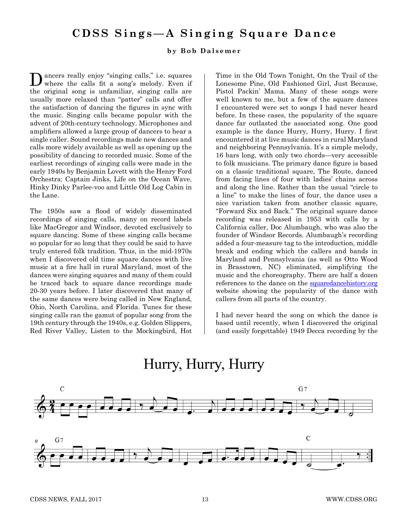# **CDSS Sings—A Singing Square Dance**

#### **by Bob Dalsemer**

Dancers really enjoy "singing calls," i.e. squares where the calls fit a song's melody. Even if the original song is unfamiliar, singing calls are usually more relaxed than "patter" calls and offer the satisfaction of dancing the figures in sync with the music. Singing calls became popular with the advent of 20th-century technology. Microphones and amplifiers allowed a large group of dancers to hear a single caller. Sound recordings made new dances and calls more widely available as well as opening up the possibility of dancing to recorded music. Some of the earliest recordings of singing calls were made in the early 1940s by Benjamin Lovett with the Henry Ford Orchestra: Captain Jinks, Life on the Ocean Wave, Hinky Dinky Parlee-voo and Little Old Log Cabin in the Lane.

The 1950s saw a flood of widely disseminated recordings of singing calls, many on record labels like MacGregor and Windsor, devoted exclusively to square dancing. Some of these singing calls became so popular for so long that they could be said to have truly entered folk tradition. Thus, in the mid-1970s when I discovered old time square dances with live music at a fire hall in rural Maryland, most of the dances were singing squares and many of them could be traced back to square dance recordings made 20-30 years before. I later discovered that many of the same dances were being called in New England, Ohio, North Carolina, and Florida. Tunes for these singing calls ran the gamut of popular song from the 19th century through the 1940s, e.g. Golden Slippers, Red River Valley, Listen to the Mockingbird, Hot Time in the Old Town Tonight, On the Trail of the Lonesome Pine, Old Fashioned Girl, Just Because, Pistol Packin' Mama. Many of these songs were well known to me, but a few of the square dances I encountered were set to songs I had never heard before. In these cases, the popularity of the square dance far outlasted the associated song. One good example is the dance Hurry, Hurry, Hurry. I first encountered it at live music dances in rural Maryland and neighboring Pennsylvania. It's a simple melody, 16 bars long, with only two chords—very accessible to folk musicians. The primary dance figure is based on a classic traditional square, The Route, danced from facing lines of four with ladies' chains across and along the line. Rather than the usual "circle to a line" to make the lines of four, the dance uses a nice variation taken from another classic square, "Forward Six and Back." The original square dance recording was released in 1953 with calls by a California caller, Doc Alumbaugh, who was also the founder of Windsor Records. Alumbaugh's recording added a four-measure tag to the introduction, middle break and ending which the callers and bands in Maryland and Pennsylvania (as well as Otto Wood in Brasstown, NC) eliminated, simplifying the music and the choreography. There are half a dozen references to the dance on the [squaredancehistory.org](http://squaredancehistory.org) website showing the popularity of the dance with callers from all parts of the country.

I had never heard the song on which the dance is based until recently, when I discovered the original (and easily forgettable) 1949 Decca recording by the



# Hurry, Hurry, Hurry